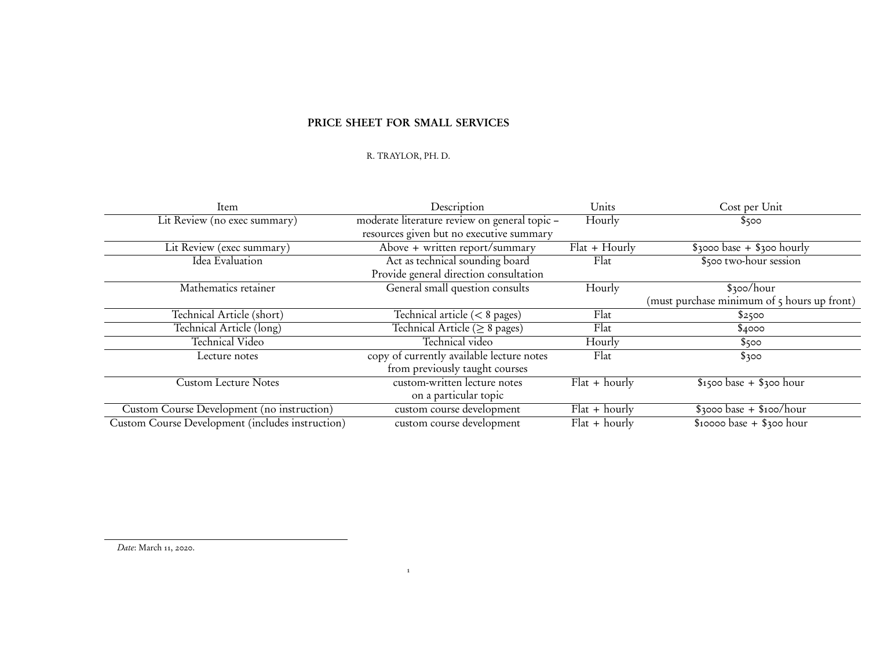## PRICE SHEET FOR SMALL SERVICES

## R. TRAYLOR, PH. D.

1

| Item                                                    | Description                                   | Units           | Cost per Unit                               |
|---------------------------------------------------------|-----------------------------------------------|-----------------|---------------------------------------------|
| Lit Review (no exec summary)                            | moderate literature review on general topic - | Hourly          | \$500                                       |
|                                                         | resources given but no executive summary      |                 |                                             |
| Lit Review (exec summary)                               | Above + written report/summary                | $Flat + Hourly$ | $$3000 base + $300 hourly$                  |
| Idea Evaluation                                         | Act as technical sounding board               | Flat            | \$500 two-hour session                      |
|                                                         | Provide general direction consultation        |                 |                                             |
| Mathematics retainer                                    | General small question consults               | Hourly          | \$300/hour                                  |
|                                                         |                                               |                 | (must purchase minimum of 5 hours up front) |
| Technical Article (short)                               | Technical article $(< 8$ pages)               | Flat            | \$2500                                      |
| Technical Article (long)                                | Technical Article ( $\geq 8$ pages)           | Flat            | \$4000                                      |
| Technical Video                                         | Technical video                               | Hourly          | \$500                                       |
| Lecture notes                                           | copy of currently available lecture notes     | Flat            | \$300                                       |
|                                                         | from previously taught courses                |                 |                                             |
| <b>Custom Lecture Notes</b>                             | custom-written lecture notes                  | $Flat + hourly$ | $$1500 base + $300 hour$                    |
|                                                         | on a particular topic                         |                 |                                             |
| Custom Course Development (no instruction)              | custom course development                     | $Flat + hourly$ | $$3000 base + $100/hour$                    |
| <b>Custom Course Development (includes instruction)</b> | custom course development                     | $Flat + hourly$ | $$10000$ base + $$300$ hour                 |

Date: March 11, 2020.